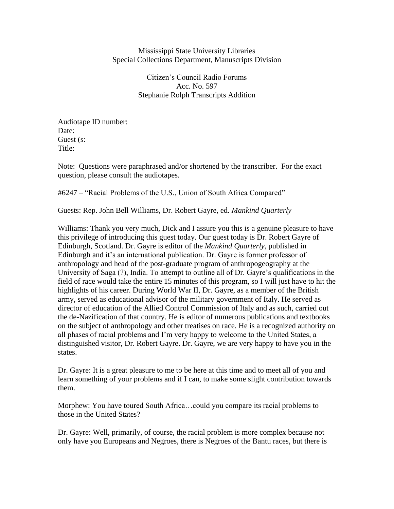Mississippi State University Libraries Special Collections Department, Manuscripts Division

> Citizen's Council Radio Forums Acc. No. 597 Stephanie Rolph Transcripts Addition

Audiotape ID number: Date: Guest (s: Title:

Note: Questions were paraphrased and/or shortened by the transcriber. For the exact question, please consult the audiotapes.

#6247 – "Racial Problems of the U.S., Union of South Africa Compared"

Guests: Rep. John Bell Williams, Dr. Robert Gayre, ed. *Mankind Quarterly*

Williams: Thank you very much, Dick and I assure you this is a genuine pleasure to have this privilege of introducing this guest today. Our guest today is Dr. Robert Gayre of Edinburgh, Scotland. Dr. Gayre is editor of the *Mankind Quarterly*, published in Edinburgh and it's an international publication. Dr. Gayre is former professor of anthropology and head of the post-graduate program of anthropogeography at the University of Saga (?), India. To attempt to outline all of Dr. Gayre's qualifications in the field of race would take the entire 15 minutes of this program, so I will just have to hit the highlights of his career. During World War II, Dr. Gayre, as a member of the British army, served as educational advisor of the military government of Italy. He served as director of education of the Allied Control Commission of Italy and as such, carried out the de-Nazification of that country. He is editor of numerous publications and textbooks on the subject of anthropology and other treatises on race. He is a recognized authority on all phases of racial problems and I'm very happy to welcome to the United States, a distinguished visitor, Dr. Robert Gayre. Dr. Gayre, we are very happy to have you in the states.

Dr. Gayre: It is a great pleasure to me to be here at this time and to meet all of you and learn something of your problems and if I can, to make some slight contribution towards them.

Morphew: You have toured South Africa…could you compare its racial problems to those in the United States?

Dr. Gayre: Well, primarily, of course, the racial problem is more complex because not only have you Europeans and Negroes, there is Negroes of the Bantu races, but there is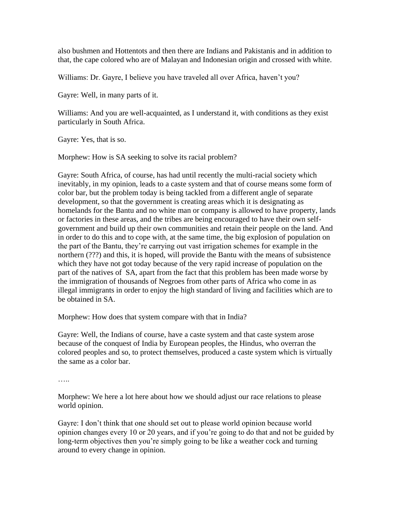also bushmen and Hottentots and then there are Indians and Pakistanis and in addition to that, the cape colored who are of Malayan and Indonesian origin and crossed with white.

Williams: Dr. Gayre, I believe you have traveled all over Africa, haven't you?

Gayre: Well, in many parts of it.

Williams: And you are well-acquainted, as I understand it, with conditions as they exist particularly in South Africa.

Gayre: Yes, that is so.

Morphew: How is SA seeking to solve its racial problem?

Gayre: South Africa, of course, has had until recently the multi-racial society which inevitably, in my opinion, leads to a caste system and that of course means some form of color bar, but the problem today is being tackled from a different angle of separate development, so that the government is creating areas which it is designating as homelands for the Bantu and no white man or company is allowed to have property, lands or factories in these areas, and the tribes are being encouraged to have their own selfgovernment and build up their own communities and retain their people on the land. And in order to do this and to cope with, at the same time, the big explosion of population on the part of the Bantu, they're carrying out vast irrigation schemes for example in the northern (???) and this, it is hoped, will provide the Bantu with the means of subsistence which they have not got today because of the very rapid increase of population on the part of the natives of SA, apart from the fact that this problem has been made worse by the immigration of thousands of Negroes from other parts of Africa who come in as illegal immigrants in order to enjoy the high standard of living and facilities which are to be obtained in SA.

Morphew: How does that system compare with that in India?

Gayre: Well, the Indians of course, have a caste system and that caste system arose because of the conquest of India by European peoples, the Hindus, who overran the colored peoples and so, to protect themselves, produced a caste system which is virtually the same as a color bar.

….

Morphew: We here a lot here about how we should adjust our race relations to please world opinion.

Gayre: I don't think that one should set out to please world opinion because world opinion changes every 10 or 20 years, and if you're going to do that and not be guided by long-term objectives then you're simply going to be like a weather cock and turning around to every change in opinion.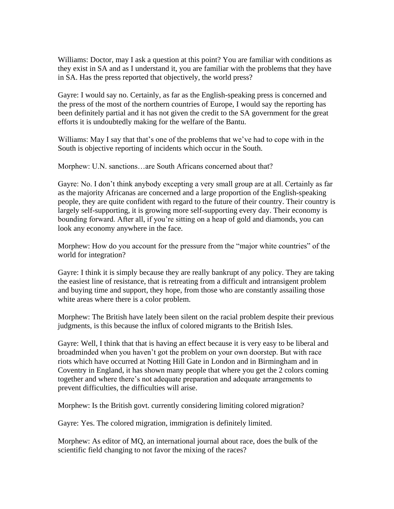Williams: Doctor, may I ask a question at this point? You are familiar with conditions as they exist in SA and as I understand it, you are familiar with the problems that they have in SA. Has the press reported that objectively, the world press?

Gayre: I would say no. Certainly, as far as the English-speaking press is concerned and the press of the most of the northern countries of Europe, I would say the reporting has been definitely partial and it has not given the credit to the SA government for the great efforts it is undoubtedly making for the welfare of the Bantu.

Williams: May I say that that's one of the problems that we've had to cope with in the South is objective reporting of incidents which occur in the South.

Morphew: U.N. sanctions…are South Africans concerned about that?

Gayre: No. I don't think anybody excepting a very small group are at all. Certainly as far as the majority Africanas are concerned and a large proportion of the English-speaking people, they are quite confident with regard to the future of their country. Their country is largely self-supporting, it is growing more self-supporting every day. Their economy is bounding forward. After all, if you're sitting on a heap of gold and diamonds, you can look any economy anywhere in the face.

Morphew: How do you account for the pressure from the "major white countries" of the world for integration?

Gayre: I think it is simply because they are really bankrupt of any policy. They are taking the easiest line of resistance, that is retreating from a difficult and intransigent problem and buying time and support, they hope, from those who are constantly assailing those white areas where there is a color problem.

Morphew: The British have lately been silent on the racial problem despite their previous judgments, is this because the influx of colored migrants to the British Isles.

Gayre: Well, I think that that is having an effect because it is very easy to be liberal and broadminded when you haven't got the problem on your own doorstep. But with race riots which have occurred at Notting Hill Gate in London and in Birmingham and in Coventry in England, it has shown many people that where you get the 2 colors coming together and where there's not adequate preparation and adequate arrangements to prevent difficulties, the difficulties will arise.

Morphew: Is the British govt. currently considering limiting colored migration?

Gayre: Yes. The colored migration, immigration is definitely limited.

Morphew: As editor of MQ, an international journal about race, does the bulk of the scientific field changing to not favor the mixing of the races?